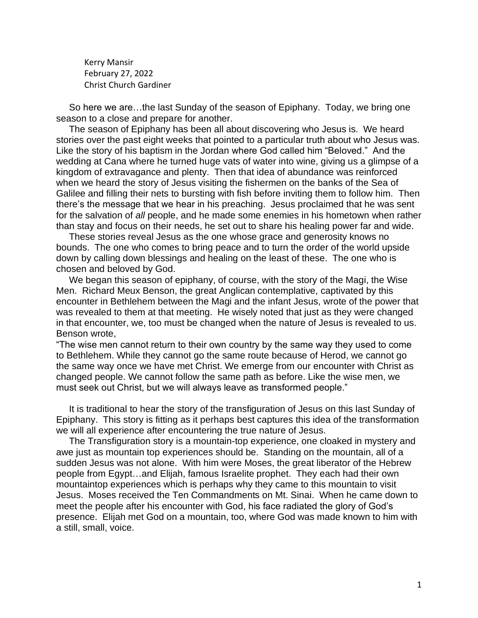Kerry Mansir February 27, 2022 Christ Church Gardiner

 So here we are…the last Sunday of the season of Epiphany. Today, we bring one season to a close and prepare for another.

 The season of Epiphany has been all about discovering who Jesus is. We heard stories over the past eight weeks that pointed to a particular truth about who Jesus was. Like the story of his baptism in the Jordan where God called him "Beloved." And the wedding at Cana where he turned huge vats of water into wine, giving us a glimpse of a kingdom of extravagance and plenty. Then that idea of abundance was reinforced when we heard the story of Jesus visiting the fishermen on the banks of the Sea of Galilee and filling their nets to bursting with fish before inviting them to follow him. Then there's the message that we hear in his preaching. Jesus proclaimed that he was sent for the salvation of *all* people, and he made some enemies in his hometown when rather than stay and focus on their needs, he set out to share his healing power far and wide.

 These stories reveal Jesus as the one whose grace and generosity knows no bounds. The one who comes to bring peace and to turn the order of the world upside down by calling down blessings and healing on the least of these. The one who is chosen and beloved by God.

 We began this season of epiphany, of course, with the story of the Magi, the Wise Men. Richard Meux Benson, the great Anglican contemplative, captivated by this encounter in Bethlehem between the Magi and the infant Jesus, wrote of the power that was revealed to them at that meeting. He wisely noted that just as they were changed in that encounter, we, too must be changed when the nature of Jesus is revealed to us. Benson wrote,

"The wise men cannot return to their own country by the same way they used to come to Bethlehem. While they cannot go the same route because of Herod, we cannot go the same way once we have met Christ. We emerge from our encounter with Christ as changed people. We cannot follow the same path as before. Like the wise men, we must seek out Christ, but we will always leave as transformed people."

 It is traditional to hear the story of the transfiguration of Jesus on this last Sunday of Epiphany. This story is fitting as it perhaps best captures this idea of the transformation we will all experience after encountering the true nature of Jesus.

 The Transfiguration story is a mountain-top experience, one cloaked in mystery and awe just as mountain top experiences should be. Standing on the mountain, all of a sudden Jesus was not alone. With him were Moses, the great liberator of the Hebrew people from Egypt…and Elijah, famous Israelite prophet. They each had their own mountaintop experiences which is perhaps why they came to this mountain to visit Jesus. Moses received the Ten Commandments on Mt. Sinai. When he came down to meet the people after his encounter with God, his face radiated the glory of God's presence. Elijah met God on a mountain, too, where God was made known to him with a still, small, voice.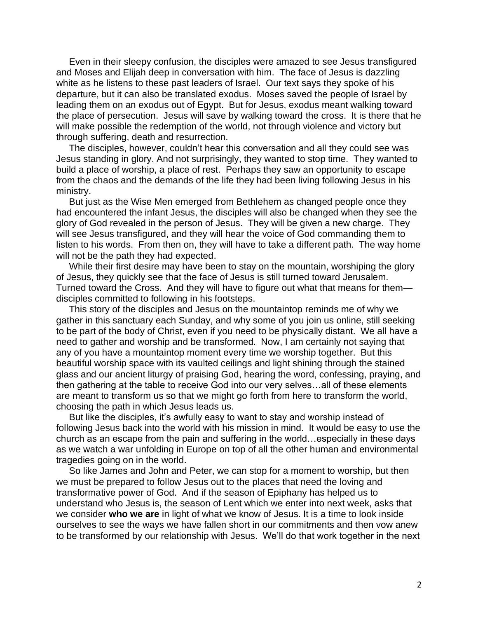Even in their sleepy confusion, the disciples were amazed to see Jesus transfigured and Moses and Elijah deep in conversation with him. The face of Jesus is dazzling white as he listens to these past leaders of Israel. Our text says they spoke of his departure, but it can also be translated exodus. Moses saved the people of Israel by leading them on an exodus out of Egypt. But for Jesus, exodus meant walking toward the place of persecution. Jesus will save by walking toward the cross. It is there that he will make possible the redemption of the world, not through violence and victory but through suffering, death and resurrection.

 The disciples, however, couldn't hear this conversation and all they could see was Jesus standing in glory. And not surprisingly, they wanted to stop time. They wanted to build a place of worship, a place of rest. Perhaps they saw an opportunity to escape from the chaos and the demands of the life they had been living following Jesus in his ministry.

 But just as the Wise Men emerged from Bethlehem as changed people once they had encountered the infant Jesus, the disciples will also be changed when they see the glory of God revealed in the person of Jesus. They will be given a new charge. They will see Jesus transfigured, and they will hear the voice of God commanding them to listen to his words. From then on, they will have to take a different path. The way home will not be the path they had expected.

 While their first desire may have been to stay on the mountain, worshiping the glory of Jesus, they quickly see that the face of Jesus is still turned toward Jerusalem. Turned toward the Cross. And they will have to figure out what that means for them disciples committed to following in his footsteps.

 This story of the disciples and Jesus on the mountaintop reminds me of why we gather in this sanctuary each Sunday, and why some of you join us online, still seeking to be part of the body of Christ, even if you need to be physically distant. We all have a need to gather and worship and be transformed. Now, I am certainly not saying that any of you have a mountaintop moment every time we worship together. But this beautiful worship space with its vaulted ceilings and light shining through the stained glass and our ancient liturgy of praising God, hearing the word, confessing, praying, and then gathering at the table to receive God into our very selves…all of these elements are meant to transform us so that we might go forth from here to transform the world, choosing the path in which Jesus leads us.

 But like the disciples, it's awfully easy to want to stay and worship instead of following Jesus back into the world with his mission in mind. It would be easy to use the church as an escape from the pain and suffering in the world…especially in these days as we watch a war unfolding in Europe on top of all the other human and environmental tragedies going on in the world.

 So like James and John and Peter, we can stop for a moment to worship, but then we must be prepared to follow Jesus out to the places that need the loving and transformative power of God. And if the season of Epiphany has helped us to understand who Jesus is, the season of Lent which we enter into next week, asks that we consider **who we are** in light of what we know of Jesus. It is a time to look inside ourselves to see the ways we have fallen short in our commitments and then vow anew to be transformed by our relationship with Jesus. We'll do that work together in the next